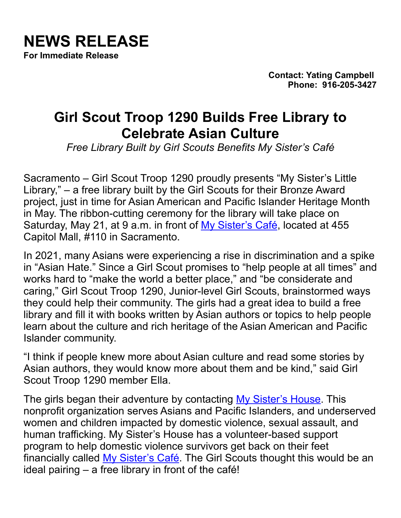**Contact: Yating Campbell Phone: 916-205-3427**

## **Girl Scout Troop 1290 Builds Free Library to Celebrate Asian Culture**

*Free Library Built by Girl Scouts Benefits My Sister's Café*

Sacramento – Girl Scout Troop 1290 proudly presents "My Sister's Little Library," – a free library built by the Girl Scouts for their Bronze Award project, just in time for Asian American and Pacific Islander Heritage Month in May. The ribbon-cutting ceremony for the library will take place on Saturday, May 21, at 9 a.m. in front of [My Sister's Café,](http://www.mysisterscafe.org/) located at 455 Capitol Mall, #110 in Sacramento.

In 2021, many Asians were experiencing a rise in discrimination and a spike in "Asian Hate." Since a Girl Scout promises to "help people at all times" and works hard to "make the world a better place," and "be considerate and caring," Girl Scout Troop 1290, Junior-level Girl Scouts, brainstormed ways they could help their community. The girls had a great idea to build a free library and fill it with books written by Asian authors or topics to help people learn about the culture and rich heritage of the Asian American and Pacific Islander community.

"I think if people knew more about Asian culture and read some stories by Asian authors, they would know more about them and be kind," said Girl Scout Troop 1290 member Ella.

The girls began their adventure by contacting [My Sister's House.](http://www.my-sisters-house.org/) This nonprofit organization serves Asians and Pacific Islanders, and underserved women and children impacted by domestic violence, sexual assault, and human trafficking. My Sister's House has a volunteer-based support program to help domestic violence survivors get back on their feet financially called [My Sister's Café.](http://www.mysisterscafe.org/) The Girl Scouts thought this would be an ideal pairing – a free library in front of the café!